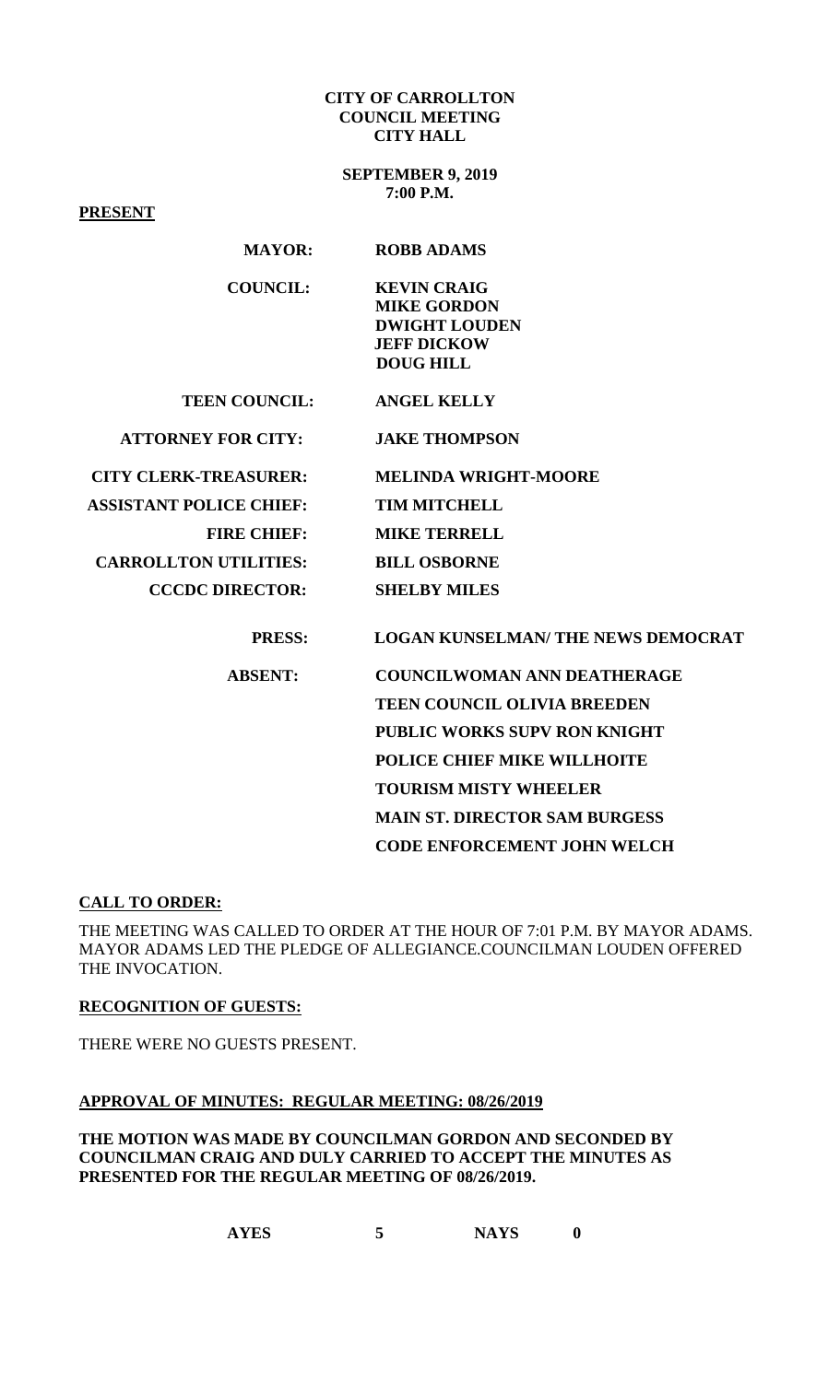### **CITY OF CARROLLTON COUNCIL MEETING CITY HALL**

**SEPTEMBER 9, 2019 7:00 P.M.**

**PRESENT MAYOR: ROBB ADAMS COUNCIL: KEVIN CRAIG MIKE GORDON DWIGHT LOUDEN JEFF DICKOW DOUG HILL TEEN COUNCIL: ANGEL KELLY ATTORNEY FOR CITY: JAKE THOMPSON CITY CLERK-TREASURER: MELINDA WRIGHT-MOORE ASSISTANT POLICE CHIEF: TIM MITCHELL FIRE CHIEF: MIKE TERRELL CARROLLTON UTILITIES: BILL OSBORNE CCCDC DIRECTOR: SHELBY MILES PRESS: LOGAN KUNSELMAN/ THE NEWS DEMOCRAT ABSENT: COUNCILWOMAN ANN DEATHERAGE TEEN COUNCIL OLIVIA BREEDEN PUBLIC WORKS SUPV RON KNIGHT POLICE CHIEF MIKE WILLHOITE TOURISM MISTY WHEELER MAIN ST. DIRECTOR SAM BURGESS CODE ENFORCEMENT JOHN WELCH** 

# **CALL TO ORDER:**

THE MEETING WAS CALLED TO ORDER AT THE HOUR OF 7:01 P.M. BY MAYOR ADAMS. MAYOR ADAMS LED THE PLEDGE OF ALLEGIANCE.COUNCILMAN LOUDEN OFFERED THE INVOCATION.

#### **RECOGNITION OF GUESTS:**

THERE WERE NO GUESTS PRESENT.

#### **APPROVAL OF MINUTES: REGULAR MEETING: 08/26/2019**

**THE MOTION WAS MADE BY COUNCILMAN GORDON AND SECONDED BY COUNCILMAN CRAIG AND DULY CARRIED TO ACCEPT THE MINUTES AS PRESENTED FOR THE REGULAR MEETING OF 08/26/2019.**

**AYES 5 NAYS 0**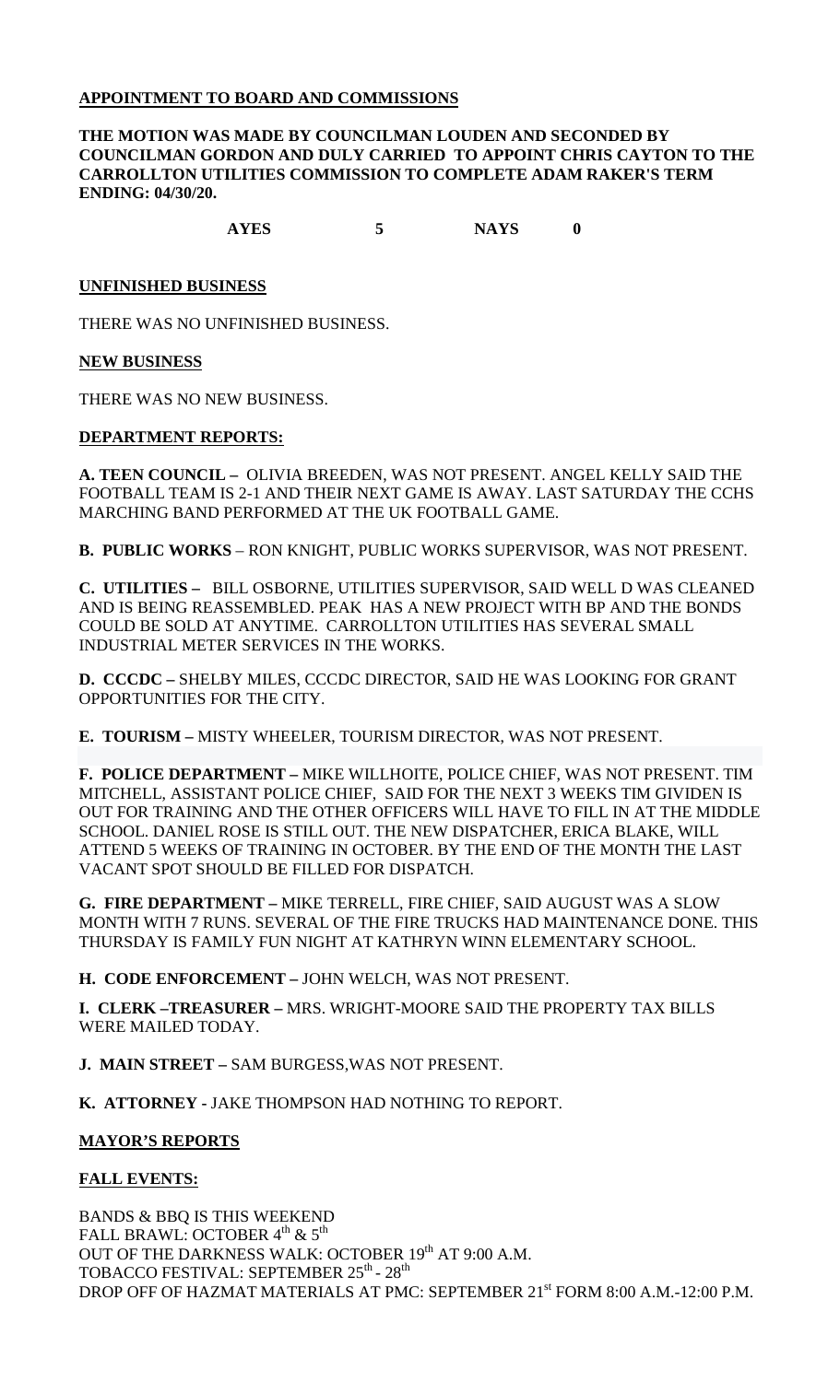# **APPOINTMENT TO BOARD AND COMMISSIONS**

## **THE MOTION WAS MADE BY COUNCILMAN LOUDEN AND SECONDED BY COUNCILMAN GORDON AND DULY CARRIED TO APPOINT CHRIS CAYTON TO THE CARROLLTON UTILITIES COMMISSION TO COMPLETE ADAM RAKER'S TERM ENDING: 04/30/20.**

**AYES 5 NAYS 0**

### **UNFINISHED BUSINESS**

THERE WAS NO UNFINISHED BUSINESS.

### **NEW BUSINESS**

THERE WAS NO NEW BUSINESS.

### **DEPARTMENT REPORTS:**

**A. TEEN COUNCIL –** OLIVIA BREEDEN, WAS NOT PRESENT. ANGEL KELLY SAID THE FOOTBALL TEAM IS 2-1 AND THEIR NEXT GAME IS AWAY. LAST SATURDAY THE CCHS MARCHING BAND PERFORMED AT THE UK FOOTBALL GAME.

**B. PUBLIC WORKS** – RON KNIGHT, PUBLIC WORKS SUPERVISOR, WAS NOT PRESENT.

**C. UTILITIES –** BILL OSBORNE, UTILITIES SUPERVISOR, SAID WELL D WAS CLEANED AND IS BEING REASSEMBLED. PEAK HAS A NEW PROJECT WITH BP AND THE BONDS COULD BE SOLD AT ANYTIME. CARROLLTON UTILITIES HAS SEVERAL SMALL INDUSTRIAL METER SERVICES IN THE WORKS.

**D. CCCDC –** SHELBY MILES, CCCDC DIRECTOR, SAID HE WAS LOOKING FOR GRANT OPPORTUNITIES FOR THE CITY.

**E. TOURISM –** MISTY WHEELER, TOURISM DIRECTOR, WAS NOT PRESENT.

**F. POLICE DEPARTMENT –** MIKE WILLHOITE, POLICE CHIEF, WAS NOT PRESENT. TIM MITCHELL, ASSISTANT POLICE CHIEF, SAID FOR THE NEXT 3 WEEKS TIM GIVIDEN IS OUT FOR TRAINING AND THE OTHER OFFICERS WILL HAVE TO FILL IN AT THE MIDDLE SCHOOL. DANIEL ROSE IS STILL OUT. THE NEW DISPATCHER, ERICA BLAKE, WILL ATTEND 5 WEEKS OF TRAINING IN OCTOBER. BY THE END OF THE MONTH THE LAST VACANT SPOT SHOULD BE FILLED FOR DISPATCH.

**G. FIRE DEPARTMENT –** MIKE TERRELL, FIRE CHIEF, SAID AUGUST WAS A SLOW MONTH WITH 7 RUNS. SEVERAL OF THE FIRE TRUCKS HAD MAINTENANCE DONE. THIS THURSDAY IS FAMILY FUN NIGHT AT KATHRYN WINN ELEMENTARY SCHOOL.

**H. CODE ENFORCEMENT –** JOHN WELCH, WAS NOT PRESENT.

**I. CLERK –TREASURER –** MRS. WRIGHT-MOORE SAID THE PROPERTY TAX BILLS WERE MAILED TODAY.

**J. MAIN STREET –** SAM BURGESS,WAS NOT PRESENT.

**K. ATTORNEY -** JAKE THOMPSON HAD NOTHING TO REPORT.

## **MAYOR'S REPORTS**

## **FALL EVENTS:**

BANDS & BBQ IS THIS WEEKEND FALL BRAWL: OCTOBER  $4^{\text{th}}$  &  $5^{\text{th}}$ OUT OF THE DARKNESS WALK: OCTOBER 19<sup>th</sup> AT 9:00 A.M. TOBACCO FESTIVAL: SEPTEMBER 25<sup>th</sup> - 28<sup>th</sup> DROP OFF OF HAZMAT MATERIALS AT PMC: SEPTEMBER 21<sup>st</sup> FORM 8:00 A.M.-12:00 P.M.